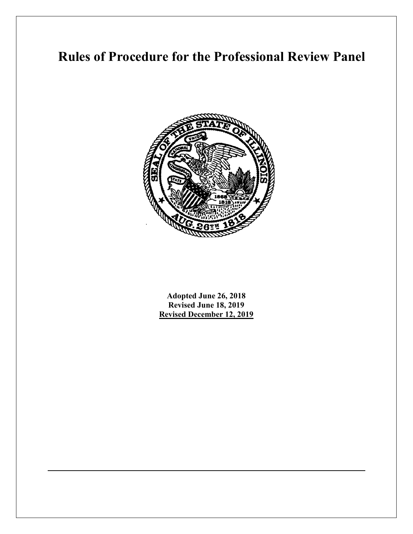# **Rules of Procedure for the Professional Review Panel**



**Adopted June 26, 2018 Revised June 18, 2019 Revised December 12, 2019**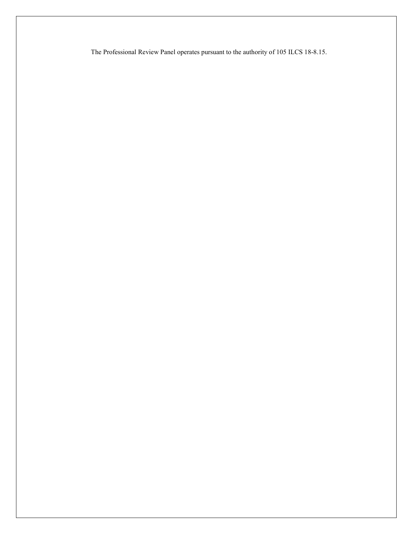The Professional Review Panel operates pursuant to the authority of 105 ILCS 18-8.15.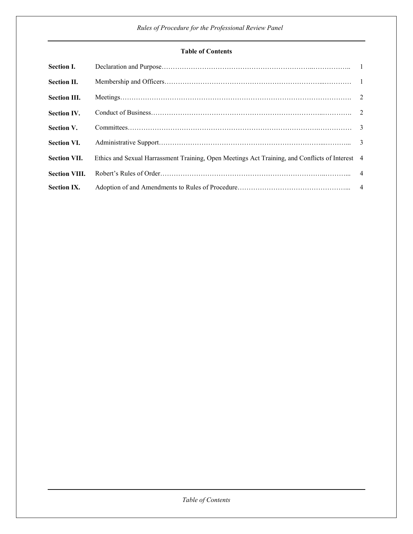## **Table of Contents**

| <b>Section I.</b>    |                                                                                                 |  |
|----------------------|-------------------------------------------------------------------------------------------------|--|
| <b>Section II.</b>   |                                                                                                 |  |
| <b>Section III.</b>  |                                                                                                 |  |
| <b>Section IV.</b>   |                                                                                                 |  |
| <b>Section V.</b>    |                                                                                                 |  |
| <b>Section VI.</b>   |                                                                                                 |  |
| <b>Section VII.</b>  | Ethics and Sexual Harrassment Training, Open Meetings Act Training, and Conflicts of Interest 4 |  |
| <b>Section VIII.</b> |                                                                                                 |  |
| <b>Section IX.</b>   |                                                                                                 |  |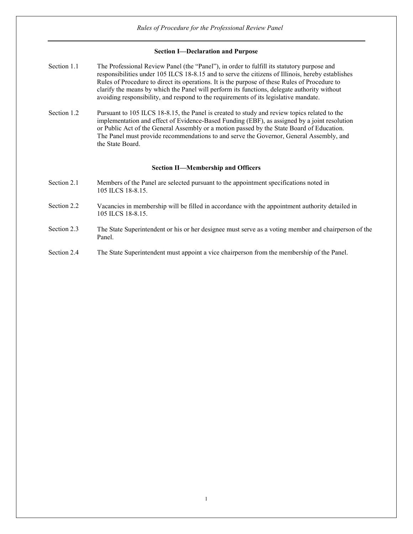## **Section I—Declaration and Purpose**

- Section 1.1 The Professional Review Panel (the "Panel"), in order to fulfill its statutory purpose and responsibilities under 105 ILCS 18-8.15 and to serve the citizens of Illinois, hereby establishes Rules of Procedure to direct its operations. It is the purpose of these Rules of Procedure to clarify the means by which the Panel will perform its functions, delegate authority without avoiding responsibility, and respond to the requirements of its legislative mandate.
- Section 1.2 Pursuant to 105 ILCS 18-8.15, the Panel is created to study and review topics related to the implementation and effect of Evidence-Based Funding (EBF), as assigned by a joint resolution or Public Act of the General Assembly or a motion passed by the State Board of Education. The Panel must provide recommendations to and serve the Governor, General Assembly, and the State Board.

### **Section II—Membership and Officers**

- Section 2.1 Members of the Panel are selected pursuant to the appointment specifications noted in 105 ILCS 18-8.15.
- Section 2.2 Vacancies in membership will be filled in accordance with the appointment authority detailed in 105 ILCS 18-8.15.
- Section 2.3 The State Superintendent or his or her designee must serve as a voting member and chairperson of the Panel.
- Section 2.4 The State Superintendent must appoint a vice chairperson from the membership of the Panel.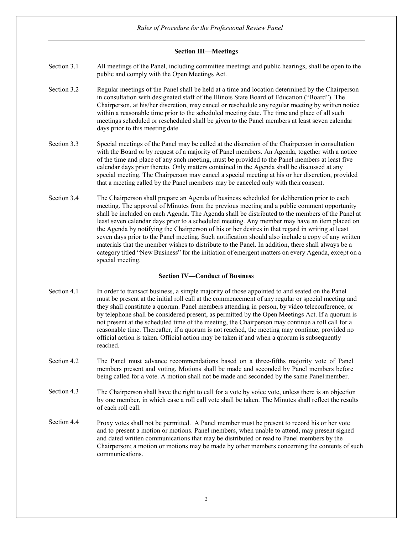## **Section III—Meetings**

- Section 3.1 All meetings of the Panel, including committee meetings and public hearings, shall be open to the public and comply with the Open Meetings Act.
- Section 3.2 Regular meetings of the Panel shall be held at a time and location determined by the Chairperson in consultation with designated staff of the Illinois State Board of Education ("Board"). The Chairperson, at his/her discretion, may cancel or reschedule any regular meeting by written notice within a reasonable time prior to the scheduled meeting date. The time and place of all such meetings scheduled or rescheduled shall be given to the Panel members at least seven calendar days prior to this meeting date.
- Section 3.3 Special meetings of the Panel may be called at the discretion of the Chairperson in consultation with the Board or by request of a majority of Panel members. An Agenda, together with a notice of the time and place of any such meeting, must be provided to the Panel members at least five calendar days prior thereto. Only matters contained in the Agenda shall be discussed at any special meeting. The Chairperson may cancel a special meeting at his or her discretion, provided that a meeting called by the Panel members may be canceled only with their consent.
- Section 3.4 The Chairperson shall prepare an Agenda of business scheduled for deliberation prior to each meeting. The approval of Minutes from the previous meeting and a public comment opportunity shall be included on each Agenda. The Agenda shall be distributed to the members of the Panel at least seven calendar days prior to a scheduled meeting. Any member may have an item placed on the Agenda by notifying the Chairperson of his or her desires in that regard in writing at least seven days prior to the Panel meeting. Such notification should also include a copy of any written materials that the member wishes to distribute to the Panel. In addition, there shall always be a category titled "New Business" for the initiation of emergent matters on every Agenda, except on a special meeting.

## **Section IV—Conduct of Business**

- Section 4.1 In order to transact business, a simple majority of those appointed to and seated on the Panel must be present at the initial roll call at the commencement of any regular or special meeting and they shall constitute a quorum. Panel members attending in person, by video teleconference, or by telephone shall be considered present, as permitted by the Open Meetings Act. If a quorum is not present at the scheduled time of the meeting, the Chairperson may continue a roll call for a reasonable time. Thereafter, if a quorum is not reached, the meeting may continue, provided no official action is taken. Official action may be taken if and when a quorum is subsequently reached.
- Section 4.2 The Panel must advance recommendations based on a three-fifths majority vote of Panel members present and voting. Motions shall be made and seconded by Panel members before being called for a vote. A motion shall not be made and seconded by the same Panel member.
- Section 4.3 The Chairperson shall have the right to call for a vote by voice vote, unless there is an objection by one member, in which case a roll call vote shall be taken. The Minutes shall reflect the results of each roll call.
- Section 4.4 Proxy votes shall not be permitted. A Panel member must be present to record his or her vote and to present a motion or motions. Panel members, when unable to attend, may present signed and dated written communications that may be distributed or read to Panel members by the Chairperson; a motion or motions may be made by other members concerning the contents of such communications.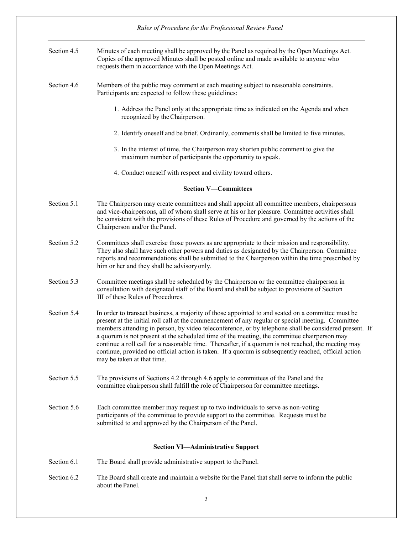|             | Rules of Procedure for the Professional Review Panel                                                                                                                                                                                                                                                                                                                                                                                                                                                                                                                                                                                                        |
|-------------|-------------------------------------------------------------------------------------------------------------------------------------------------------------------------------------------------------------------------------------------------------------------------------------------------------------------------------------------------------------------------------------------------------------------------------------------------------------------------------------------------------------------------------------------------------------------------------------------------------------------------------------------------------------|
| Section 4.5 | Minutes of each meeting shall be approved by the Panel as required by the Open Meetings Act.<br>Copies of the approved Minutes shall be posted online and made available to anyone who<br>requests them in accordance with the Open Meetings Act.                                                                                                                                                                                                                                                                                                                                                                                                           |
| Section 4.6 | Members of the public may comment at each meeting subject to reasonable constraints.<br>Participants are expected to follow these guidelines:                                                                                                                                                                                                                                                                                                                                                                                                                                                                                                               |
|             | 1. Address the Panel only at the appropriate time as indicated on the Agenda and when<br>recognized by the Chairperson.                                                                                                                                                                                                                                                                                                                                                                                                                                                                                                                                     |
|             | 2. Identify oneself and be brief. Ordinarily, comments shall be limited to five minutes.                                                                                                                                                                                                                                                                                                                                                                                                                                                                                                                                                                    |
|             | 3. In the interest of time, the Chairperson may shorten public comment to give the<br>maximum number of participants the opportunity to speak.                                                                                                                                                                                                                                                                                                                                                                                                                                                                                                              |
|             | 4. Conduct oneself with respect and civility toward others.                                                                                                                                                                                                                                                                                                                                                                                                                                                                                                                                                                                                 |
|             | <b>Section V-Committees</b>                                                                                                                                                                                                                                                                                                                                                                                                                                                                                                                                                                                                                                 |
| Section 5.1 | The Chairperson may create committees and shall appoint all committee members, chairpersons<br>and vice-chairpersons, all of whom shall serve at his or her pleasure. Committee activities shall<br>be consistent with the provisions of these Rules of Procedure and governed by the actions of the<br>Chairperson and/or the Panel.                                                                                                                                                                                                                                                                                                                       |
| Section 5.2 | Committees shall exercise those powers as are appropriate to their mission and responsibility.<br>They also shall have such other powers and duties as designated by the Chairperson. Committee<br>reports and recommendations shall be submitted to the Chairperson within the time prescribed by<br>him or her and they shall be advisory only.                                                                                                                                                                                                                                                                                                           |
| Section 5.3 | Committee meetings shall be scheduled by the Chairperson or the committee chairperson in<br>consultation with designated staff of the Board and shall be subject to provisions of Section<br>III of these Rules of Procedures.                                                                                                                                                                                                                                                                                                                                                                                                                              |
| Section 5.4 | In order to transact business, a majority of those appointed to and seated on a committee must be<br>present at the initial roll call at the commencement of any regular or special meeting. Committee<br>members attending in person, by video teleconference, or by telephone shall be considered present. If<br>a quorum is not present at the scheduled time of the meeting, the committee chairperson may<br>continue a roll call for a reasonable time. Thereafter, if a quorum is not reached, the meeting may<br>continue, provided no official action is taken. If a quorum is subsequently reached, official action<br>may be taken at that time. |
| Section 5.5 | The provisions of Sections 4.2 through 4.6 apply to committees of the Panel and the<br>committee chairperson shall fulfill the role of Chairperson for committee meetings.                                                                                                                                                                                                                                                                                                                                                                                                                                                                                  |
| Section 5.6 | Each committee member may request up to two individuals to serve as non-voting<br>participants of the committee to provide support to the committee. Requests must be<br>submitted to and approved by the Chairperson of the Panel.                                                                                                                                                                                                                                                                                                                                                                                                                         |
|             | <b>Section VI-Administrative Support</b>                                                                                                                                                                                                                                                                                                                                                                                                                                                                                                                                                                                                                    |
| Section 6.1 | The Board shall provide administrative support to the Panel.                                                                                                                                                                                                                                                                                                                                                                                                                                                                                                                                                                                                |
| Section 6.2 | The Board shall create and maintain a website for the Panel that shall serve to inform the public<br>about the Panel.                                                                                                                                                                                                                                                                                                                                                                                                                                                                                                                                       |
|             | 3                                                                                                                                                                                                                                                                                                                                                                                                                                                                                                                                                                                                                                                           |